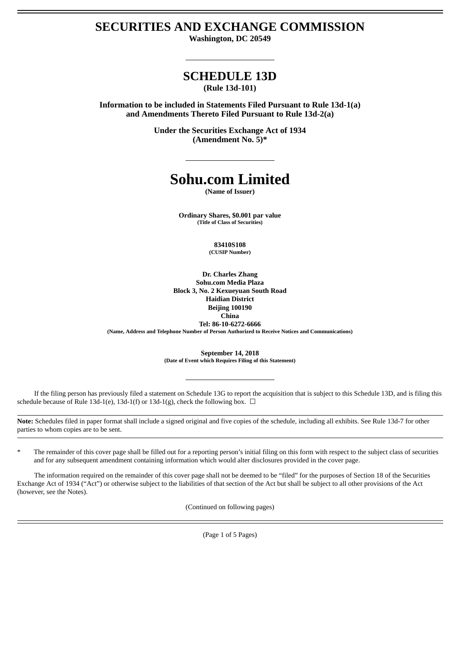# **SECURITIES AND EXCHANGE COMMISSION**

**Washington, DC 20549**

# **SCHEDULE 13D**

**(Rule 13d-101)**

**Information to be included in Statements Filed Pursuant to Rule 13d-1(a) and Amendments Thereto Filed Pursuant to Rule 13d-2(a)**

> **Under the Securities Exchange Act of 1934 (Amendment No. 5)\***

# **Sohu.com Limited**

**(Name of Issuer)**

**Ordinary Shares, \$0.001 par value (Title of Class of Securities)**

> **83410S108 (CUSIP Number)**

**Dr. Charles Zhang Sohu.com Media Plaza Block 3, No. 2 Kexueyuan South Road Haidian District Beijing 100190 China Tel: 86-10-6272-6666 (Name, Address and Telephone Number of Person Authorized to Receive Notices and Communications)**

> **September 14, 2018 (Date of Event which Requires Filing of this Statement)**

If the filing person has previously filed a statement on Schedule 13G to report the acquisition that is subject to this Schedule 13D, and is filing this schedule because of Rule 13d-1(e), 13d-1(f) or 13d-1(g), check the following box.  $\Box$ 

**Note:** Schedules filed in paper format shall include a signed original and five copies of the schedule, including all exhibits. See Rule 13d-7 for other parties to whom copies are to be sent.

The remainder of this cover page shall be filled out for a reporting person's initial filing on this form with respect to the subject class of securities and for any subsequent amendment containing information which would alter disclosures provided in the cover page.

The information required on the remainder of this cover page shall not be deemed to be "filed" for the purposes of Section 18 of the Securities Exchange Act of 1934 ("Act") or otherwise subject to the liabilities of that section of the Act but shall be subject to all other provisions of the Act (however, see the Notes).

(Continued on following pages)

(Page 1 of 5 Pages)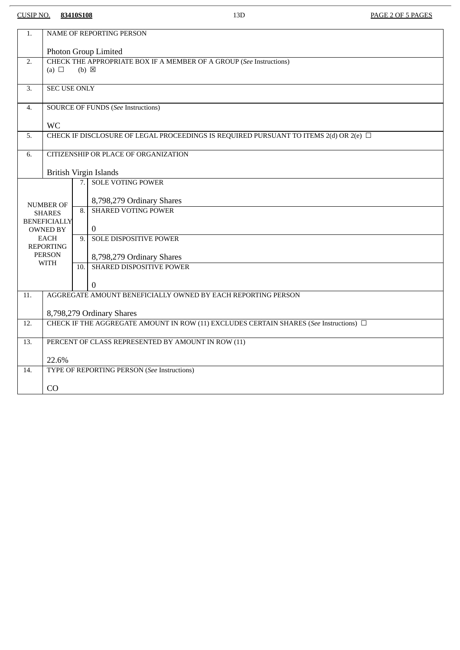## CUSIP NO. **83410S108** 13D PAGE 2 OF 5 PAGES

 $\overline{\phantom{a}}$ 

| 1.                                | NAME OF REPORTING PERSON                                                                             |                                             |                               |  |
|-----------------------------------|------------------------------------------------------------------------------------------------------|---------------------------------------------|-------------------------------|--|
|                                   | Photon Group Limited                                                                                 |                                             |                               |  |
| 2.                                | CHECK THE APPROPRIATE BOX IF A MEMBER OF A GROUP (See Instructions)<br>(a) $\Box$<br>$(b) \boxtimes$ |                                             |                               |  |
|                                   |                                                                                                      |                                             |                               |  |
| $\overline{3}$ .                  | <b>SEC USE ONLY</b>                                                                                  |                                             |                               |  |
| 4.                                | <b>SOURCE OF FUNDS (See Instructions)</b>                                                            |                                             |                               |  |
|                                   | <b>WC</b>                                                                                            |                                             |                               |  |
| 5.                                | CHECK IF DISCLOSURE OF LEGAL PROCEEDINGS IS REQUIRED PURSUANT TO ITEMS 2(d) OR 2(e) $\Box$           |                                             |                               |  |
| $\overline{6}$ .                  | CITIZENSHIP OR PLACE OF ORGANIZATION                                                                 |                                             |                               |  |
|                                   | <b>British Virgin Islands</b>                                                                        |                                             |                               |  |
|                                   |                                                                                                      | 7.                                          | <b>SOLE VOTING POWER</b>      |  |
|                                   |                                                                                                      |                                             | 8,798,279 Ordinary Shares     |  |
| <b>NUMBER OF</b><br><b>SHARES</b> |                                                                                                      | 8.                                          | <b>SHARED VOTING POWER</b>    |  |
|                                   | <b>BENEFICIALLY</b><br><b>OWNED BY</b>                                                               |                                             | $\mathbf{0}$                  |  |
|                                   | EACH                                                                                                 | 9.                                          | <b>SOLE DISPOSITIVE POWER</b> |  |
|                                   | <b>REPORTING</b><br><b>PERSON</b>                                                                    |                                             | 8,798,279 Ordinary Shares     |  |
|                                   | <b>WITH</b>                                                                                          | 10.                                         | SHARED DISPOSITIVE POWER      |  |
|                                   |                                                                                                      |                                             | $\boldsymbol{0}$              |  |
| $\overline{11}$ .                 | AGGREGATE AMOUNT BENEFICIALLY OWNED BY EACH REPORTING PERSON                                         |                                             |                               |  |
|                                   | 8,798,279 Ordinary Shares                                                                            |                                             |                               |  |
| 12.                               | CHECK IF THE AGGREGATE AMOUNT IN ROW (11) EXCLUDES CERTAIN SHARES (See Instructions) $\Box$          |                                             |                               |  |
| 13.                               | PERCENT OF CLASS REPRESENTED BY AMOUNT IN ROW (11)                                                   |                                             |                               |  |
|                                   |                                                                                                      |                                             |                               |  |
| 14.                               | 22.6%                                                                                                | TYPE OF REPORTING PERSON (See Instructions) |                               |  |
|                                   |                                                                                                      |                                             |                               |  |
|                                   | CO                                                                                                   |                                             |                               |  |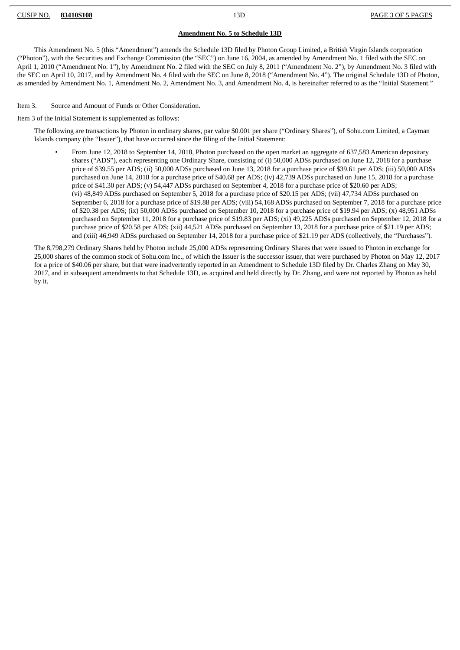#### CUSIP NO. **83410S108** 13D PAGE 3 OF 5 PAGES

#### **Amendment No. 5 to Schedule 13D**

This Amendment No. 5 (this "Amendment") amends the Schedule 13D filed by Photon Group Limited, a British Virgin Islands corporation ("Photon"), with the Securities and Exchange Commission (the "SEC") on June 16, 2004, as amended by Amendment No. 1 filed with the SEC on April 1, 2010 ("Amendment No. 1"), by Amendment No. 2 filed with the SEC on July 8, 2011 ("Amendment No. 2"), by Amendment No. 3 filed with the SEC on April 10, 2017, and by Amendment No. 4 filed with the SEC on June 8, 2018 ("Amendment No. 4"). The original Schedule 13D of Photon, as amended by Amendment No. 1, Amendment No. 2, Amendment No. 3, and Amendment No. 4, is hereinafter referred to as the "Initial Statement."

#### Item 3. Source and Amount of Funds or Other Consideration.

#### Item 3 of the Initial Statement is supplemented as follows:

The following are transactions by Photon in ordinary shares, par value \$0.001 per share ("Ordinary Shares"), of Sohu.com Limited, a Cayman Islands company (the "Issuer"), that have occurred since the filing of the Initial Statement:

• From June 12, 2018 to September 14, 2018, Photon purchased on the open market an aggregate of 637,583 American depositary shares ("ADS"), each representing one Ordinary Share, consisting of (i) 50,000 ADSs purchased on June 12, 2018 for a purchase price of \$39.55 per ADS; (ii) 50,000 ADSs purchased on June 13, 2018 for a purchase price of \$39.61 per ADS; (iii) 50,000 ADSs purchased on June 14, 2018 for a purchase price of \$40.68 per ADS; (iv) 42,739 ADSs purchased on June 15, 2018 for a purchase price of \$41.30 per ADS; (v) 54,447 ADSs purchased on September 4, 2018 for a purchase price of \$20.60 per ADS; (vi) 48,849 ADSs purchased on September 5, 2018 for a purchase price of \$20.15 per ADS; (vii) 47,734 ADSs purchased on September 6, 2018 for a purchase price of \$19.88 per ADS; (viii) 54,168 ADSs purchased on September 7, 2018 for a purchase price of \$20.38 per ADS; (ix) 50,000 ADSs purchased on September 10, 2018 for a purchase price of \$19.94 per ADS; (x) 48,951 ADSs purchased on September 11, 2018 for a purchase price of \$19.83 per ADS; (xi) 49,225 ADSs purchased on September 12, 2018 for a purchase price of \$20.58 per ADS; (xii) 44,521 ADSs purchased on September 13, 2018 for a purchase price of \$21.19 per ADS; and (xiii) 46,949 ADSs purchased on September 14, 2018 for a purchase price of \$21.19 per ADS (collectively, the "Purchases").

The 8,798,279 Ordinary Shares held by Photon include 25,000 ADSs representing Ordinary Shares that were issued to Photon in exchange for 25,000 shares of the common stock of Sohu.com Inc., of which the Issuer is the successor issuer, that were purchased by Photon on May 12, 2017 for a price of \$40.06 per share, but that were inadvertently reported in an Amendment to Schedule 13D filed by Dr. Charles Zhang on May 30, 2017, and in subsequent amendments to that Schedule 13D, as acquired and held directly by Dr. Zhang, and were not reported by Photon as held by it.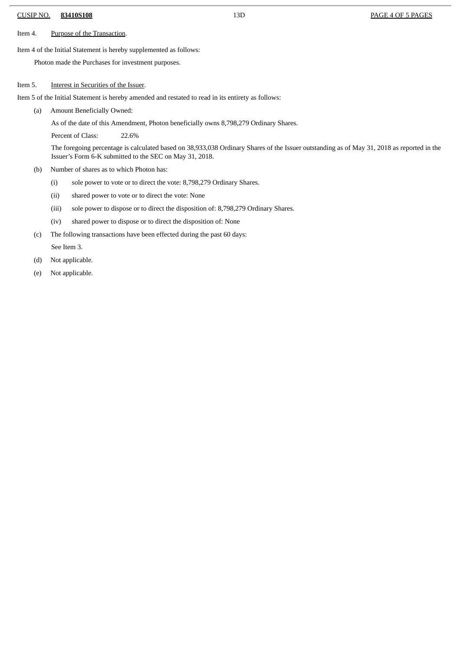### CUSIP NO. **83410S108** 13D PAGE 4 OF 5 PAGES

Item 4. Purpose of the Transaction.

Item 4 of the Initial Statement is hereby supplemented as follows:

Photon made the Purchases for investment purposes.

#### Item 5. **Interest in Securities of the Issuer.**

Item 5 of the Initial Statement is hereby amended and restated to read in its entirety as follows:

(a) Amount Beneficially Owned:

As of the date of this Amendment, Photon beneficially owns 8,798,279 Ordinary Shares.

Percent of Class: 22.6%

The foregoing percentage is calculated based on 38,933,038 Ordinary Shares of the Issuer outstanding as of May 31, 2018 as reported in the Issuer's Form 6-K submitted to the SEC on May 31, 2018.

- (b) Number of shares as to which Photon has:
	- (i) sole power to vote or to direct the vote: 8,798,279 Ordinary Shares.
	- (ii) shared power to vote or to direct the vote: None
	- (iii) sole power to dispose or to direct the disposition of: 8,798,279 Ordinary Shares.
	- (iv) shared power to dispose or to direct the disposition of: None
- (c) The following transactions have been effected during the past 60 days:
	- See Item 3.
- (d) Not applicable.
- (e) Not applicable.